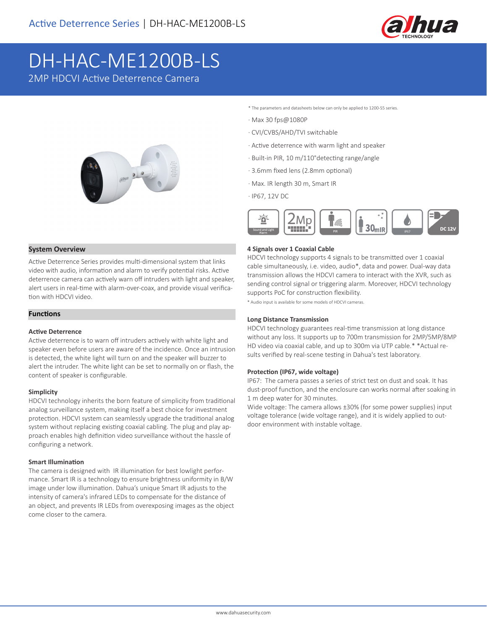

# DH-HAC-ME1200B-LS

2MP HDCVI Active Deterrence Camera



#### **System Overview**

Active Deterrence Series provides multi-dimensional system that links video with audio, information and alarm to verify potential risks. Active deterrence camera can actively warn off intruders with light and speaker, alert users in real-time with alarm-over-coax, and provide visual verification with HDCVI video.

### **Functions**

#### **Active Deterrence**

Active deterrence is to warn off intruders actively with white light and speaker even before users are aware of the incidence. Once an intrusion is detected, the white light will turn on and the speaker will buzzer to alert the intruder. The white light can be set to normally on or flash, the content of speaker is configurable.

#### **Simplicity**

HDCVI technology inherits the born feature of simplicity from traditional analog surveillance system, making itself a best choice for investment protection. HDCVI system can seamlessly upgrade the traditional analog system without replacing existing coaxial cabling. The plug and play approach enables high definition video surveillance without the hassle of configuring a network.

#### **Smart Illumination**

The camera is designed with IR illumination for best lowlight performance. Smart IR is a technology to ensure brightness uniformity in B/W image under low illumination. Dahua's unique Smart IR adjusts to the intensity of camera's infrared LEDs to compensate for the distance of an object, and prevents IR LEDs from overexposing images as the object come closer to the camera.

- \* The parameters and datasheets below can only be applied to 1200-S5 series.
- · Max 30 fps@1080P
- · CVI/CVBS/AHD/TVI switchable
- · Active deterrence with warm light and speaker
- · Built-in PIR, 10 m/110°detecting range/angle
- · 3.6mm fixed lens (2.8mm optional)
- · Max. IR length 30 m, Smart IR
- · IP67, 12V DC



#### **4 Signals over 1 Coaxial Cable**

HDCVI technology supports 4 signals to be transmitted over 1 coaxial cable simultaneously, i.e. video, audio\*, data and power. Dual-way data transmission allows the HDCVI camera to interact with the XVR, such as sending control signal or triggering alarm. Moreover, HDCVI technology supports PoC for construction flexibility.

\* Audio input is available for some models of HDCVI cameras.

#### **Long Distance Transmission**

HDCVI technology guarantees real-time transmission at long distance without any loss. It supports up to 700m transmission for 2MP/5MP/8MP HD video via coaxial cable, and up to 300m via UTP cable.\* \*Actual results verified by real-scene testing in Dahua's test laboratory.

#### **Protection (IP67, wide voltage)**

IP67: The camera passes a series of strict test on dust and soak. It has dust-proof function, and the enclosure can works normal after soaking in 1 m deep water for 30 minutes.

Wide voltage: The camera allows ±30% (for some power supplies) input voltage tolerance (wide voltage range), and it is widely applied to outdoor environment with instable voltage.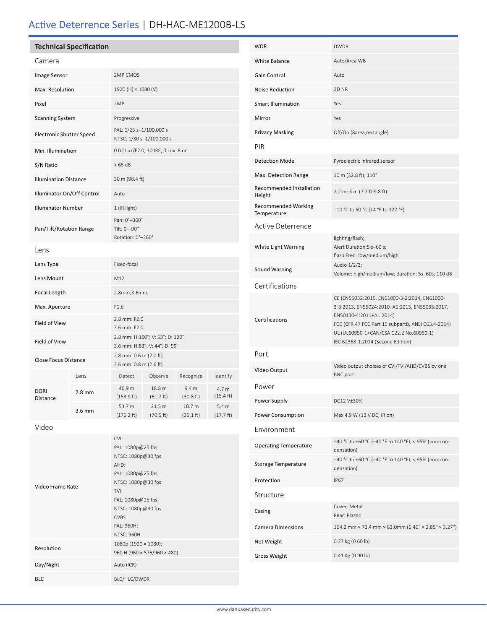# Active Deterrence Series | DH-HAC-ME1200B-LS

| <b>Technical Specification</b> |                  |                                                                                                              |                     |                               |                                         |  |
|--------------------------------|------------------|--------------------------------------------------------------------------------------------------------------|---------------------|-------------------------------|-----------------------------------------|--|
| Camera                         |                  |                                                                                                              |                     |                               |                                         |  |
| Image Sensor                   |                  | 2MP CMOS                                                                                                     |                     |                               |                                         |  |
| Max. Resolution                |                  | 1920 (H) × 1080 (V)                                                                                          |                     |                               |                                         |  |
| Pixel                          |                  | 2MP                                                                                                          |                     |                               |                                         |  |
| <b>Scanning System</b>         |                  | Progressive                                                                                                  |                     |                               |                                         |  |
| Electronic Shutter Speed       |                  | PAL: 1/25 s-1/100,000 s<br>NTSC: 1/30 s-1/100,000 s                                                          |                     |                               |                                         |  |
| Min. Illumination              |                  | 0.02 Lux/F2.0, 30 IRE, 0 Lux IR on                                                                           |                     |                               |                                         |  |
| S/N Ratio                      |                  | >65 dB                                                                                                       |                     |                               |                                         |  |
| <b>Illumination Distance</b>   |                  | 30 m (98.4 ft)                                                                                               |                     |                               |                                         |  |
| Illuminator On/Off Control     |                  | Auto                                                                                                         |                     |                               |                                         |  |
| <b>Illuminator Number</b>      |                  | 1 (IR light)                                                                                                 |                     |                               |                                         |  |
| Pan/Tilt/Rotation Range        |                  | Pan: 0°-360°<br>Tilt: 0°-90°<br>Rotation: 0°-360°                                                            |                     |                               |                                         |  |
| Lens                           |                  |                                                                                                              |                     |                               |                                         |  |
| Lens Type                      |                  | Fixed-focal                                                                                                  |                     |                               |                                         |  |
| Lens Mount                     |                  | M12                                                                                                          |                     |                               |                                         |  |
| Focal Length                   |                  | 2.8mm;3.6mm;                                                                                                 |                     |                               |                                         |  |
| Max. Aperture                  |                  | F1.6                                                                                                         |                     |                               |                                         |  |
| Field of View                  |                  | 2.8 mm: F2.0<br>3.6 mm: F2.0                                                                                 |                     |                               |                                         |  |
|                                |                  | 2.8 mm: H:100°; V: 53°; D: 120°                                                                              |                     |                               |                                         |  |
| Field of View                  |                  | 3.6 mm: H:83°; V: 44°; D: 99°                                                                                |                     |                               |                                         |  |
| Close Focus Distance           |                  | 2.8 mm: 0.6 m (2.0 ft)<br>3.6 mm: 0.8 m (2.6 ft)                                                             |                     |                               |                                         |  |
|                                | Lens             | Detect                                                                                                       | Observe             | Recognize                     | Identify                                |  |
| <b>DORI</b><br>Distance        | $2.8 \text{ mm}$ | 46.9 m<br>(153.9 ft)                                                                                         | 18.8 m<br>(61.7 ft) | 9.4 <sub>m</sub><br>(30.8 ft) | 4.7 m<br>$(15.4 \text{ ft})$            |  |
|                                | 3.6 mm           | 53.7 m<br>(176.2 ft)                                                                                         | 21.5 m<br>(70.5 ft) | 10.7 m<br>(35.1 ft)           | 5.4 <sub>m</sub><br>$(17.7 \text{ ft})$ |  |
| Video                          |                  |                                                                                                              |                     |                               |                                         |  |
| Video Frame Rate               |                  | CVI:<br>PAL: 1080p@25 fps;<br>NTSC: 1080p@30 fps<br>AHD:<br>PAL: 1080p@25 fps;<br>NTSC: 1080p@30 fps<br>TVI: |                     |                               |                                         |  |

PAL: 1080p@25 fps; NTSC: 1080p@30 fps

960 H (960 × 576/960 × 480)

CVBS: PAL: 960H; NTSC: 960H

Resolution 1080p (1920 × 1080);<br>  $CQ = 110800 + 776600 + 776600$ 

Day/Night Auto (ICR) BLC BLC/HLC/DWDR

| <b>WDR</b>                                | <b>DWDR</b>                                                                                                                                                                                                                                                    |  |  |
|-------------------------------------------|----------------------------------------------------------------------------------------------------------------------------------------------------------------------------------------------------------------------------------------------------------------|--|--|
| <b>White Balance</b>                      | Auto/Area WB                                                                                                                                                                                                                                                   |  |  |
| <b>Gain Control</b>                       | Auto                                                                                                                                                                                                                                                           |  |  |
| <b>Noise Reduction</b>                    | 2D <sub>NR</sub>                                                                                                                                                                                                                                               |  |  |
| <b>Smart Illumination</b>                 | Yes                                                                                                                                                                                                                                                            |  |  |
| Mirror                                    | Yes                                                                                                                                                                                                                                                            |  |  |
| Privacy Masking                           | Off/On (8area, rectangle)                                                                                                                                                                                                                                      |  |  |
| <b>PIR</b>                                |                                                                                                                                                                                                                                                                |  |  |
| <b>Detection Mode</b>                     | Pyroelectric infrared sensor                                                                                                                                                                                                                                   |  |  |
| Max. Detection Range                      | 10 m (32.8 ft), 110°                                                                                                                                                                                                                                           |  |  |
| <b>Recommended Installation</b><br>Height | 2.2 m-3 m (7.2 ft-9.8 ft)                                                                                                                                                                                                                                      |  |  |
| <b>Recommended Working</b><br>Temperature | -10 °C to 50 °C (14 °F to 122 °F)                                                                                                                                                                                                                              |  |  |
| Active Deterrence                         |                                                                                                                                                                                                                                                                |  |  |
| White Light Warning                       | lighting/flash;<br>Alert Duration:5 s-60 s;<br>flash Freq: low/medium/high                                                                                                                                                                                     |  |  |
| Sound Warning                             | Audio 1/2/3;<br>Volume: high/medium/low; duration: 5s-60s; 110 dB                                                                                                                                                                                              |  |  |
| Certifications                            |                                                                                                                                                                                                                                                                |  |  |
| Certifications                            | CE (EN55032:2015, EN61000-3-2:2014, EN61000-<br>3-3:2013, EN55024:2010+A1:2015, EN55035:2017,<br>EN50130-4:2011+A1:2014)<br>FCC (CFR 47 FCC Part 15 subpartB, ANSI C63.4-2014)<br>UL (UL60950-1+CAN/CSA C22.2 No.60950-1)<br>IEC 62368-1:2014 (Second Edition) |  |  |
| Port                                      |                                                                                                                                                                                                                                                                |  |  |
| Video Output                              | Video output choices of CVI/TVI/AHD/CVBS by one<br><b>BNC</b> port                                                                                                                                                                                             |  |  |
| Power                                     |                                                                                                                                                                                                                                                                |  |  |
| Power Supply                              | DC12 V±30%                                                                                                                                                                                                                                                     |  |  |
| Power Consumption                         | Max 4.9 W (12 V DC, IR on)                                                                                                                                                                                                                                     |  |  |
| Environment                               |                                                                                                                                                                                                                                                                |  |  |
| <b>Operating Temperature</b>              | -40 °C to +60 °C (-40 °F to 140 °F); < 95% (non-con-<br>densation)                                                                                                                                                                                             |  |  |
| Storage Temperature                       | -40 °C to +60 °C (-40 °F to 140 °F); < 95% (non-con-<br>densation)                                                                                                                                                                                             |  |  |
| Protection                                | <b>IP67</b>                                                                                                                                                                                                                                                    |  |  |
| Structure                                 |                                                                                                                                                                                                                                                                |  |  |
| Casing                                    | Cover: Metal<br>Rear: Plastic                                                                                                                                                                                                                                  |  |  |
| <b>Camera Dimensions</b>                  | 164.2 mm × 72.4 mm × 83.0mm (6.46" × 2.85" × 3.27")                                                                                                                                                                                                            |  |  |
| Net Weight                                | 0.27 kg (0.60 lb)                                                                                                                                                                                                                                              |  |  |
| Gross Weight                              | 0.41 Kg (0.90 lb)                                                                                                                                                                                                                                              |  |  |